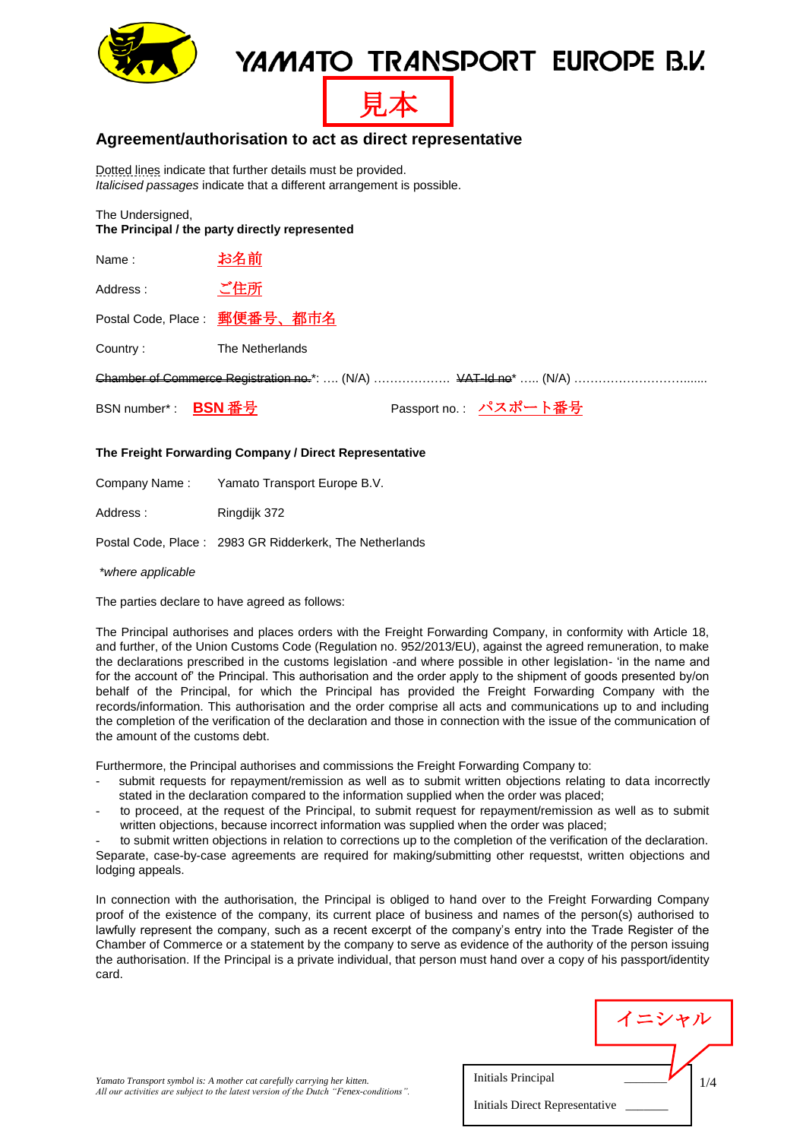

## YAMATO TRANSPORT EUROPE B.V.



#### **Agreement/authorisation to act as direct representative**

Dotted lines indicate that further details must be provided. *Italicised passages* indicate that a different arrangement is possible.

The Undersigned,

**The Principal / the party directly represented**

| Name:               | お名前                          |                       |  |
|---------------------|------------------------------|-----------------------|--|
| Address:            | ご住所                          |                       |  |
|                     | Postal Code, Place: 郵便番号、都市名 |                       |  |
| Country:            | The Netherlands              |                       |  |
|                     |                              |                       |  |
| BSN number*: BSN 番号 |                              | Passport no.: パスポート番号 |  |

#### **The Freight Forwarding Company / Direct Representative**

Company Name : Yamato Transport Europe B.V.

Address: Ringdijk 372

Postal Code, Place : 2983 GR Ridderkerk, The Netherlands

*\*where applicable*

The parties declare to have agreed as follows:

The Principal authorises and places orders with the Freight Forwarding Company, in conformity with Article 18, and further, of the Union Customs Code (Regulation no. 952/2013/EU), against the agreed remuneration, to make the declarations prescribed in the customs legislation -and where possible in other legislation- 'in the name and for the account of' the Principal. This authorisation and the order apply to the shipment of goods presented by/on behalf of the Principal, for which the Principal has provided the Freight Forwarding Company with the records/information. This authorisation and the order comprise all acts and communications up to and including the completion of the verification of the declaration and those in connection with the issue of the communication of the amount of the customs debt.

Furthermore, the Principal authorises and commissions the Freight Forwarding Company to:

- submit requests for repayment/remission as well as to submit written objections relating to data incorrectly stated in the declaration compared to the information supplied when the order was placed;
- to proceed, at the request of the Principal, to submit request for repayment/remission as well as to submit written objections, because incorrect information was supplied when the order was placed;

to submit written objections in relation to corrections up to the completion of the verification of the declaration. Separate, case-by-case agreements are required for making/submitting other requestst, written objections and lodging appeals.

In connection with the authorisation, the Principal is obliged to hand over to the Freight Forwarding Company proof of the existence of the company, its current place of business and names of the person(s) authorised to lawfully represent the company, such as a recent excerpt of the company's entry into the Trade Register of the Chamber of Commerce or a statement by the company to serve as evidence of the authority of the person issuing the authorisation. If the Principal is a private individual, that person must hand over a copy of his passport/identity card.

|                                | イニシャル |  |  |  |
|--------------------------------|-------|--|--|--|
| Initials Principal             | /4    |  |  |  |
| Initials Direct Representative |       |  |  |  |

*Yamato Transport symbol is: A mother cat carefully carrying her kitten. All our activities are subject to the latest version of the Dutch "Fenex-conditions".*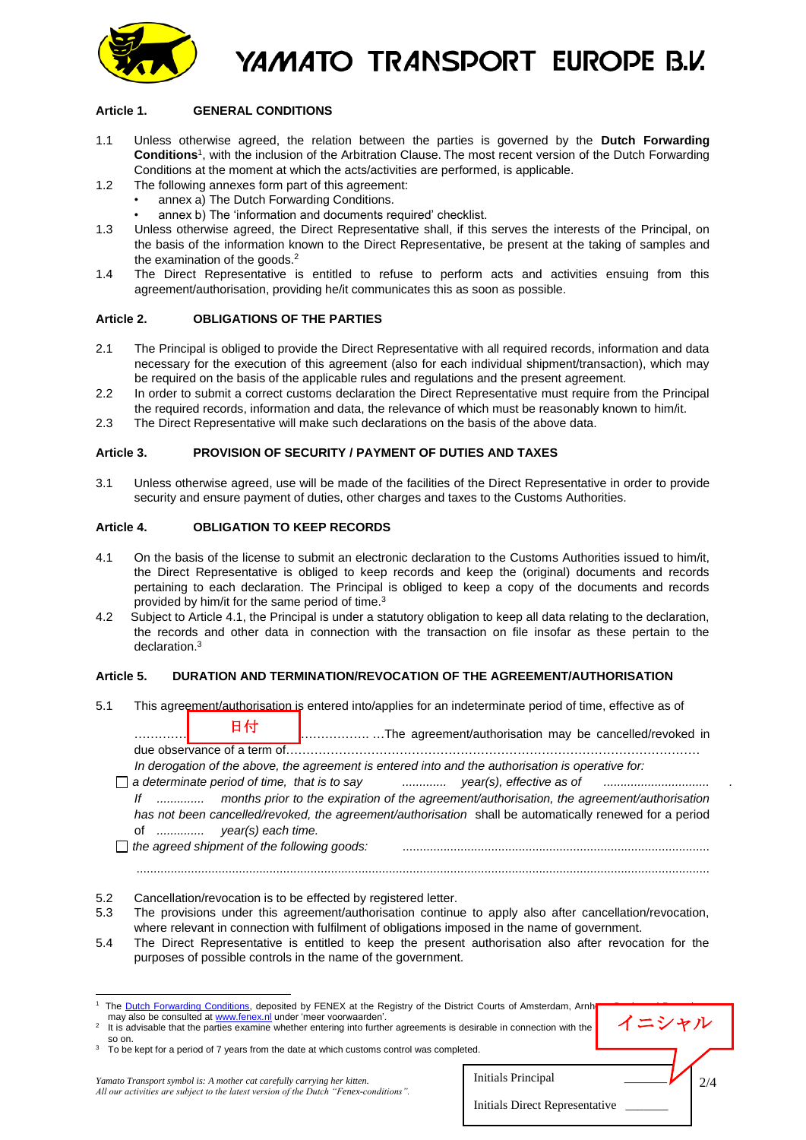

YAMATO TRANSPORT EUROPE B.V.

#### **Article 1. GENERAL CONDITIONS**

- 1.1 Unless otherwise agreed, the relation between the parties is governed by the **Dutch Forwarding Conditions**<sup>1</sup> , with the inclusion of the Arbitration Clause. The most recent version of the Dutch Forwarding Conditions at the moment at which the acts/activities are performed, is applicable.
- 1.2 The following annexes form part of this agreement:
	- annex a) The Dutch Forwarding Conditions.
	- annex b) The 'information and documents required' checklist.
- 1.3 Unless otherwise agreed, the Direct Representative shall, if this serves the interests of the Principal, on the basis of the information known to the Direct Representative, be present at the taking of samples and the examination of the goods.<sup>2</sup>
- 1.4 The Direct Representative is entitled to refuse to perform acts and activities ensuing from this agreement/authorisation, providing he/it communicates this as soon as possible.

#### **Article 2. OBLIGATIONS OF THE PARTIES**

- 2.1 The Principal is obliged to provide the Direct Representative with all required records, information and data necessary for the execution of this agreement (also for each individual shipment/transaction), which may be required on the basis of the applicable rules and regulations and the present agreement.
- 2.2 In order to submit a correct customs declaration the Direct Representative must require from the Principal the required records, information and data, the relevance of which must be reasonably known to him/it.
- 2.3 The Direct Representative will make such declarations on the basis of the above data.

#### **Article 3. PROVISION OF SECURITY / PAYMENT OF DUTIES AND TAXES**

3.1 Unless otherwise agreed, use will be made of the facilities of the Direct Representative in order to provide security and ensure payment of duties, other charges and taxes to the Customs Authorities.

#### **Article 4. OBLIGATION TO KEEP RECORDS**

- 4.1 On the basis of the license to submit an electronic declaration to the Customs Authorities issued to him/it, the Direct Representative is obliged to keep records and keep the (original) documents and records pertaining to each declaration. The Principal is obliged to keep a copy of the documents and records provided by him/it for the same period of time.<sup>3</sup>
- 4.2 Subject to Article 4.1, the Principal is under a statutory obligation to keep all data relating to the declaration, the records and other data in connection with the transaction on file insofar as these pertain to the declaration.<sup>3</sup>

#### **Article 5. DURATION AND TERMINATION/REVOCATION OF THE AGREEMENT/AUTHORISATION**

- 5.1 This agreement/authorisation is entered into/applies for an indeterminate period of time, effective as of …………………………………………………. …The agreement/authorisation may be cancelled/revoked in due observance of a term of………………………………………………………………………………………… *In derogation of the above, the agreement is entered into and the authorisation is operative for: a determinate period of time, that is to say ............. year(s), effective as of ............................... . If .............. months prior to the expiration of the agreement/authorisation, the agreement/authorisation has not been cancelled/revoked, the agreement/authorisation* shall be automatically renewed for a period of *.............. year(s) each time. the agreed shipment of the following goods:* .......................................................................................... ........................................................................................................................................................................ 日付
- 5.2 Cancellation/revocation is to be effected by registered letter.
- 5.3 The provisions under this agreement/authorisation continue to apply also after cancellation/revocation, where relevant in connection with fulfilment of obligations imposed in the name of government.
- 5.4 The Direct Representative is entitled to keep the present authorisation also after revocation for the purposes of possible controls in the name of the government.

2 It is advisable that the parties examine whether entering into further agreements is desirable in connection with the

Initials Principal \_\_\_\_\_\_\_

Initials Direct Representative \_\_\_\_\_\_\_

2/4

イニシャル

 1 The [Dutch Forwarding Conditions,](http://www.fenex.nl/Documents/Nederlandse%20Expeditievoorwaarden%20%28Engels%2c%201%20juli%202004%29.pdf) deposited by FENEX at the Registry of the District Courts of Amsterdam, Arnhem, Breda and Rotterdam, may also be consulted a[t www.fenex.nl](http://www.fenex.nl/) under 'meer voorwaarden'.

so on.<br><sup>3</sup> To be kept for a period of 7 years from the date at which customs control was completed.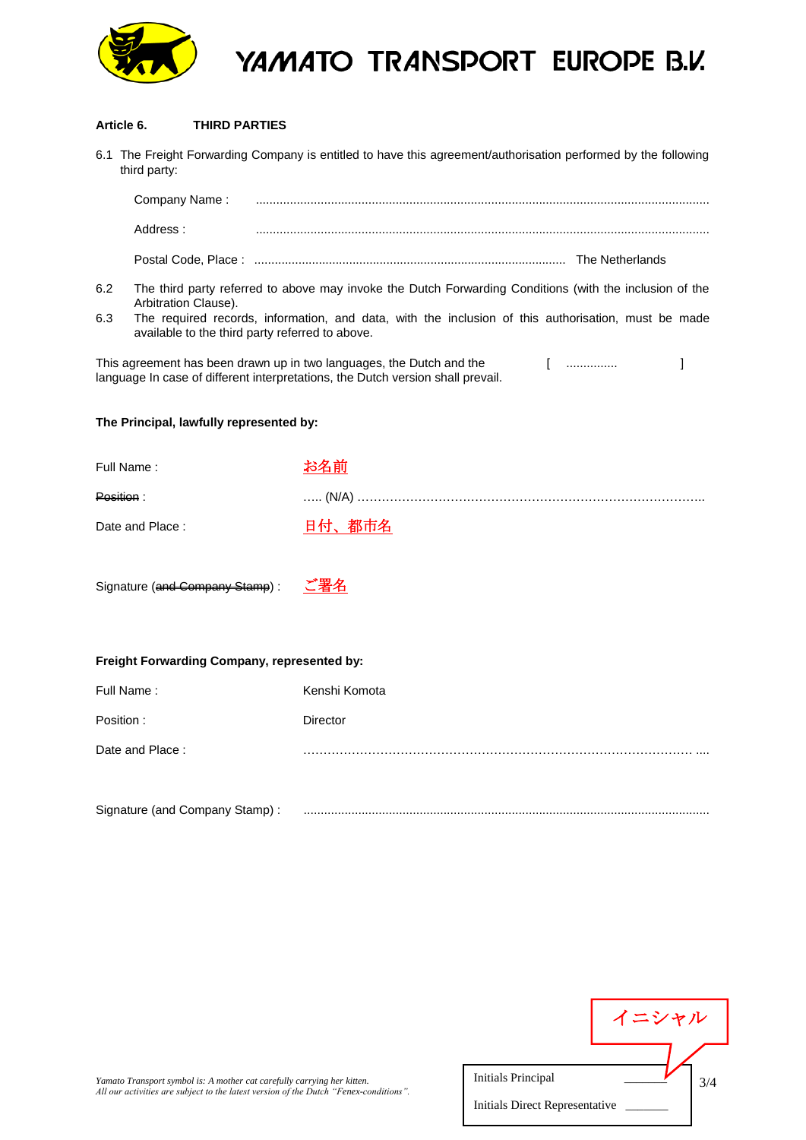

# YAMATO TRANSPORT EUROPE B.V.

#### **Article 6. THIRD PARTIES**

| 6.1 The Freight Forwarding Company is entitled to have this agreement/authorisation performed by the following<br>third party:                                                                                                                                                                          |                                |               |  |  |
|---------------------------------------------------------------------------------------------------------------------------------------------------------------------------------------------------------------------------------------------------------------------------------------------------------|--------------------------------|---------------|--|--|
|                                                                                                                                                                                                                                                                                                         |                                |               |  |  |
|                                                                                                                                                                                                                                                                                                         | Address:                       |               |  |  |
|                                                                                                                                                                                                                                                                                                         |                                |               |  |  |
| 6.2<br>The third party referred to above may invoke the Dutch Forwarding Conditions (with the inclusion of the<br>Arbitration Clause).<br>6.3<br>The required records, information, and data, with the inclusion of this authorisation, must be made<br>available to the third party referred to above. |                                |               |  |  |
| This agreement has been drawn up in two languages, the Dutch and the<br>1<br>language In case of different interpretations, the Dutch version shall prevail.                                                                                                                                            |                                |               |  |  |
| The Principal, lawfully represented by:                                                                                                                                                                                                                                                                 |                                |               |  |  |
| Full Name:                                                                                                                                                                                                                                                                                              |                                | お名前           |  |  |
| <b>Position:</b>                                                                                                                                                                                                                                                                                        |                                |               |  |  |
|                                                                                                                                                                                                                                                                                                         | Date and Place:                | 日付、都市名        |  |  |
|                                                                                                                                                                                                                                                                                                         | Signature (and Company Stamp): | ご署名           |  |  |
| Freight Forwarding Company, represented by:                                                                                                                                                                                                                                                             |                                |               |  |  |
| Full Name:                                                                                                                                                                                                                                                                                              |                                | Kenshi Komota |  |  |

| Full Natile.    | Refishi Romota |
|-----------------|----------------|
| Position:       | Director       |
| Date and Place: |                |

| Signature (and Company Sta<br>$1.13$ sollipari, starip, |  |
|---------------------------------------------------------|--|
|---------------------------------------------------------|--|

|       |                                | イニシャル |
|-------|--------------------------------|-------|
|       |                                |       |
| ons". | <b>Initials Principal</b>      |       |
|       | Initials Direct Representative |       |